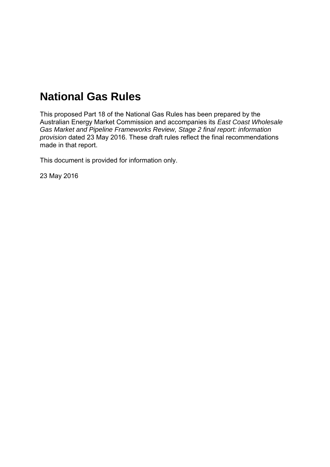# **National Gas Rules**

This proposed Part 18 of the National Gas Rules has been prepared by the Australian Energy Market Commission and accompanies its *East Coast Wholesale Gas Market and Pipeline Frameworks Review, Stage 2 final report: information provision* dated 23 May 2016. These draft rules reflect the final recommendations made in that report.

This document is provided for information only.

23 May 2016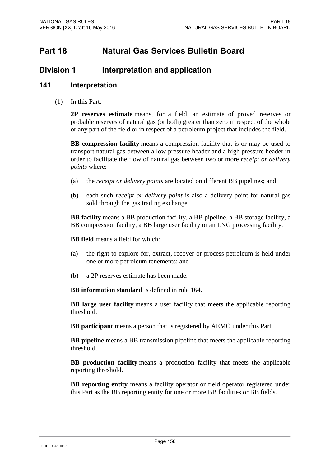# **Part 18 Natural Gas Services Bulletin Board**

### **Division 1** Interpretation and application

#### **141 Interpretation**

(1) In this Part:

**2P reserves estimate** means, for a field, an estimate of proved reserves or probable reserves of natural gas (or both) greater than zero in respect of the whole or any part of the field or in respect of a petroleum project that includes the field.

**BB compression facility** means a compression facility that is or may be used to transport natural gas between a low pressure header and a high pressure header in order to facilitate the flow of natural gas between two or more *receipt or delivery points* where:

- (a) the *receipt or delivery points* are located on different BB pipelines; and
- (b) each such *receipt or delivery point* is also a delivery point for natural gas sold through the gas trading exchange.

**BB facility** means a BB production facility, a BB pipeline, a BB storage facility, a BB compression facility, a BB large user facility or an LNG processing facility.

**BB field** means a field for which:

- (a) the right to explore for, extract, recover or process petroleum is held under one or more petroleum tenements; and
- (b) a 2P reserves estimate has been made.

**BB information standard** is defined in rule 164.

**BB large user facility** means a user facility that meets the applicable reporting threshold.

**BB participant** means a person that is registered by AEMO under this Part.

**BB pipeline** means a BB transmission pipeline that meets the applicable reporting threshold.

**BB production facility** means a production facility that meets the applicable reporting threshold.

**BB reporting entity** means a facility operator or field operator registered under this Part as the BB reporting entity for one or more BB facilities or BB fields.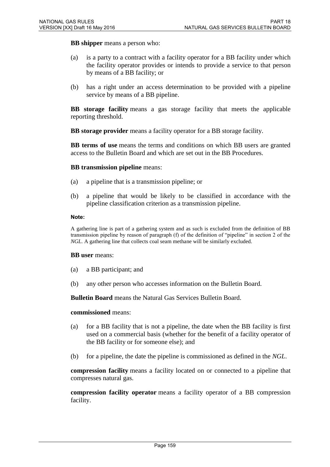**BB shipper** means a person who:

- (a) is a party to a contract with a facility operator for a BB facility under which the facility operator provides or intends to provide a service to that person by means of a BB facility; or
- (b) has a right under an access determination to be provided with a pipeline service by means of a BB pipeline.

**BB storage facility** means a gas storage facility that meets the applicable reporting threshold.

**BB storage provider** means a facility operator for a BB storage facility.

**BB terms of use** means the terms and conditions on which BB users are granted access to the Bulletin Board and which are set out in the BB Procedures.

#### **BB transmission pipeline** means:

- (a) a pipeline that is a transmission pipeline; or
- (b) a pipeline that would be likely to be classified in accordance with the pipeline classification criterion as a transmission pipeline.

#### **Note:**

A gathering line is part of a gathering system and as such is excluded from the definition of BB transmission pipeline by reason of paragraph (f) of the definition of "pipeline" in section 2 of the *NGL*. A gathering line that collects coal seam methane will be similarly excluded.

#### **BB user** means:

- (a) a BB participant; and
- (b) any other person who accesses information on the Bulletin Board.

**Bulletin Board** means the Natural Gas Services Bulletin Board.

#### **commissioned** means:

- (a) for a BB facility that is not a pipeline, the date when the BB facility is first used on a commercial basis (whether for the benefit of a facility operator of the BB facility or for someone else); and
- (b) for a pipeline, the date the pipeline is commissioned as defined in the *NGL*.

**compression facility** means a facility located on or connected to a pipeline that compresses natural gas.

**compression facility operator** means a facility operator of a BB compression facility.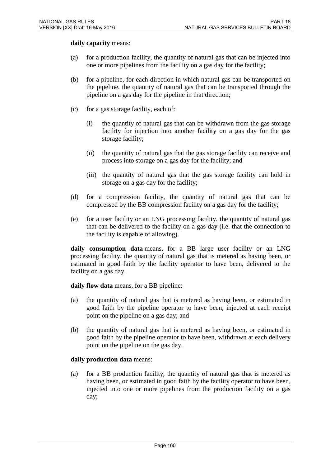**daily capacity** means:

- (a) for a production facility, the quantity of natural gas that can be injected into one or more pipelines from the facility on a gas day for the facility;
- (b) for a pipeline, for each direction in which natural gas can be transported on the pipeline, the quantity of natural gas that can be transported through the pipeline on a gas day for the pipeline in that direction;
- (c) for a gas storage facility, each of:
	- (i) the quantity of natural gas that can be withdrawn from the gas storage facility for injection into another facility on a gas day for the gas storage facility;
	- (ii) the quantity of natural gas that the gas storage facility can receive and process into storage on a gas day for the facility; and
	- (iii) the quantity of natural gas that the gas storage facility can hold in storage on a gas day for the facility;
- (d) for a compression facility, the quantity of natural gas that can be compressed by the BB compression facility on a gas day for the facility;
- (e) for a user facility or an LNG processing facility, the quantity of natural gas that can be delivered to the facility on a gas day (i.e. that the connection to the facility is capable of allowing).

**daily consumption data** means, for a BB large user facility or an LNG processing facility, the quantity of natural gas that is metered as having been, or estimated in good faith by the facility operator to have been, delivered to the facility on a gas day.

**daily flow data** means, for a BB pipeline:

- (a) the quantity of natural gas that is metered as having been, or estimated in good faith by the pipeline operator to have been, injected at each receipt point on the pipeline on a gas day; and
- (b) the quantity of natural gas that is metered as having been, or estimated in good faith by the pipeline operator to have been, withdrawn at each delivery point on the pipeline on the gas day.

#### **daily production data** means:

(a) for a BB production facility, the quantity of natural gas that is metered as having been, or estimated in good faith by the facility operator to have been, injected into one or more pipelines from the production facility on a gas day;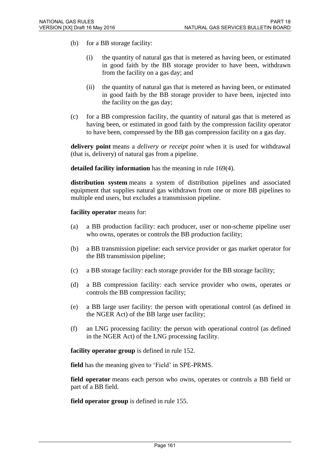- (b) for a BB storage facility:
	- (i) the quantity of natural gas that is metered as having been, or estimated in good faith by the BB storage provider to have been, withdrawn from the facility on a gas day; and
	- (ii) the quantity of natural gas that is metered as having been, or estimated in good faith by the BB storage provider to have been, injected into the facility on the gas day;
- (c) for a BB compression facility, the quantity of natural gas that is metered as having been, or estimated in good faith by the compression facility operator to have been, compressed by the BB gas compression facility on a gas day.

**delivery point** means a *delivery or receipt point* when it is used for withdrawal (that is, delivery) of natural gas from a pipeline.

**detailed facility information** has the meaning in rule 169(4).

**distribution system** means a system of distribution pipelines and associated equipment that supplies natural gas withdrawn from one or more BB pipelines to multiple end users, but excludes a transmission pipeline.

#### **facility operator** means for:

- (a) a BB production facility: each producer, user or non-scheme pipeline user who owns, operates or controls the BB production facility;
- (b) a BB transmission pipeline: each service provider or gas market operator for the BB transmission pipeline;
- (c) a BB storage facility: each storage provider for the BB storage facility;
- (d) a BB compression facility: each service provider who owns, operates or controls the BB compression facility;
- (e) a BB large user facility: the person with operational control (as defined in the NGER Act) of the BB large user facility;
- (f) an LNG processing facility: the person with operational control (as defined in the NGER Act) of the LNG processing facility.

**facility operator group** is defined in rule 152.

**field** has the meaning given to 'Field' in SPE-PRMS.

**field operator** means each person who owns, operates or controls a BB field or part of a BB field.

**field operator group** is defined in rule 155.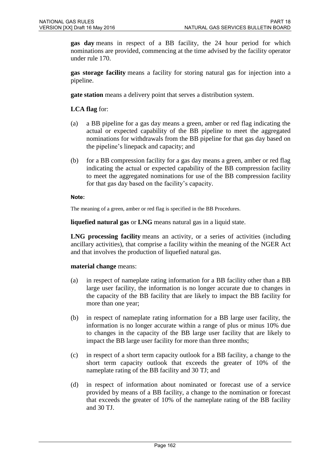**gas day** means in respect of a BB facility, the 24 hour period for which nominations are provided, commencing at the time advised by the facility operator under rule 170.

**gas storage facility** means a facility for storing natural gas for injection into a pipeline.

**gate station** means a delivery point that serves a distribution system.

**LCA flag** for:

- (a) a BB pipeline for a gas day means a green, amber or red flag indicating the actual or expected capability of the BB pipeline to meet the aggregated nominations for withdrawals from the BB pipeline for that gas day based on the pipeline's linepack and capacity; and
- (b) for a BB compression facility for a gas day means a green, amber or red flag indicating the actual or expected capability of the BB compression facility to meet the aggregated nominations for use of the BB compression facility for that gas day based on the facility's capacity.

#### **Note:**

The meaning of a green, amber or red flag is specified in the BB Procedures.

**liquefied natural gas** or **LNG** means natural gas in a liquid state.

**LNG processing facility** means an activity, or a series of activities (including ancillary activities), that comprise a facility within the meaning of the NGER Act and that involves the production of liquefied natural gas.

#### **material change** means:

- (a) in respect of nameplate rating information for a BB facility other than a BB large user facility, the information is no longer accurate due to changes in the capacity of the BB facility that are likely to impact the BB facility for more than one year;
- (b) in respect of nameplate rating information for a BB large user facility, the information is no longer accurate within a range of plus or minus 10% due to changes in the capacity of the BB large user facility that are likely to impact the BB large user facility for more than three months;
- (c) in respect of a short term capacity outlook for a BB facility, a change to the short term capacity outlook that exceeds the greater of 10% of the nameplate rating of the BB facility and 30 TJ; and
- (d) in respect of information about nominated or forecast use of a service provided by means of a BB facility, a change to the nomination or forecast that exceeds the greater of 10% of the nameplate rating of the BB facility and 30 TJ.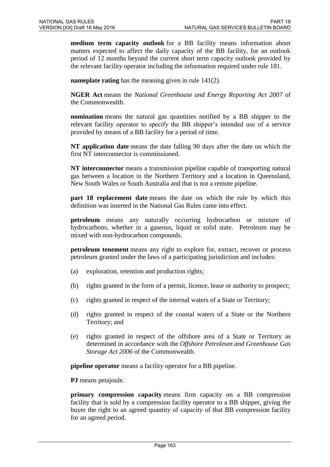**medium term capacity outlook** for a BB facility means information about matters expected to affect the daily capacity of the BB facility, for an outlook period of 12 months beyond the current short term capacity outlook provided by the relevant facility operator including the information required under rule 181.

**nameplate rating** has the meaning given in rule 141(2).

**NGER Act** means the *National Greenhouse and Energy Reporting Act 2007* of the Commonwealth.

**nomination** means the natural gas quantities notified by a BB shipper to the relevant facility operator to specify the BB shipper's intended use of a service provided by means of a BB facility for a period of time.

**NT application date** means the date falling 90 days after the date on which the first NT interconnector is commissioned.

**NT interconnector** means a transmission pipeline capable of transporting natural gas between a location in the Northern Territory and a location in Queensland, New South Wales or South Australia and that is not a remote pipeline.

**part 18 replacement date** means the date on which the rule by which this definition was inserted in the National Gas Rules came into effect*.*

**petroleum** means any naturally occurring hydrocarbon or mixture of hydrocarbons, whether in a gaseous, liquid or solid state. Petroleum may be mixed with non-hydrocarbon compounds.

**petroleum tenement** means any right to explore for, extract, recover or process petroleum granted under the laws of a participating jurisdiction and includes:

- (a) exploration, retention and production rights;
- (b) rights granted in the form of a permit, licence, lease or authority to prospect;
- (c) rights granted in respect of the internal waters of a State or Territory;
- (d) rights granted in respect of the coastal waters of a State or the Northern Territory; and
- (e) rights granted in respect of the offshore area of a State or Territory as determined in accordance with the *Offshore Petroleum and Greenhouse Gas Storage Act 2006* of the Commonwealth.

**pipeline operator** means a facility operator for a BB pipeline.

**PJ** means petajoule.

**primary compression capacity** means firm capacity on a BB compression facility that is sold by a compression facility operator to a BB shipper, giving the buyer the right to an agreed quantity of capacity of that BB compression facility for an agreed period.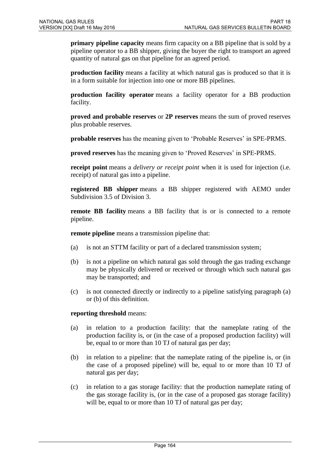**primary pipeline capacity** means firm capacity on a BB pipeline that is sold by a pipeline operator to a BB shipper, giving the buyer the right to transport an agreed quantity of natural gas on that pipeline for an agreed period.

**production facility** means a facility at which natural gas is produced so that it is in a form suitable for injection into one or more BB pipelines.

**production facility operator** means a facility operator for a BB production facility.

**proved and probable reserves** or **2P reserves** means the sum of proved reserves plus probable reserves.

**probable reserves** has the meaning given to 'Probable Reserves' in SPE-PRMS.

**proved reserves** has the meaning given to 'Proved Reserves' in SPE-PRMS.

**receipt point** means a *delivery or receipt point* when it is used for injection (i.e. receipt) of natural gas into a pipeline.

**registered BB shipper** means a BB shipper registered with AEMO under Subdivision 3.5 of Division 3.

**remote BB facility** means a BB facility that is or is connected to a remote pipeline.

**remote pipeline** means a transmission pipeline that:

- (a) is not an STTM facility or part of a declared transmission system;
- (b) is not a pipeline on which natural gas sold through the gas trading exchange may be physically delivered or received or through which such natural gas may be transported; and
- (c) is not connected directly or indirectly to a pipeline satisfying paragraph (a) or (b) of this definition.

#### **reporting threshold** means:

- (a) in relation to a production facility: that the nameplate rating of the production facility is, or (in the case of a proposed production facility) will be, equal to or more than 10 TJ of natural gas per day;
- (b) in relation to a pipeline: that the nameplate rating of the pipeline is, or (in the case of a proposed pipeline) will be, equal to or more than 10 TJ of natural gas per day;
- (c) in relation to a gas storage facility: that the production nameplate rating of the gas storage facility is, (or in the case of a proposed gas storage facility) will be, equal to or more than 10 TJ of natural gas per day;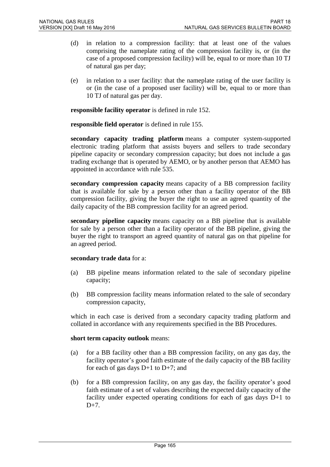- (d) in relation to a compression facility: that at least one of the values comprising the nameplate rating of the compression facility is, or (in the case of a proposed compression facility) will be, equal to or more than 10 TJ of natural gas per day;
- (e) in relation to a user facility: that the nameplate rating of the user facility is or (in the case of a proposed user facility) will be, equal to or more than 10 TJ of natural gas per day.

**responsible facility operator** is defined in rule 152.

**responsible field operator** is defined in rule 155.

**secondary capacity trading platform** means a computer system-supported electronic trading platform that assists buyers and sellers to trade secondary pipeline capacity or secondary compression capacity; but does not include a gas trading exchange that is operated by AEMO, or by another person that AEMO has appointed in accordance with rule 535.

**secondary compression capacity** means capacity of a BB compression facility that is available for sale by a person other than a facility operator of the BB compression facility, giving the buyer the right to use an agreed quantity of the daily capacity of the BB compression facility for an agreed period.

**secondary pipeline capacity** means capacity on a BB pipeline that is available for sale by a person other than a facility operator of the BB pipeline, giving the buyer the right to transport an agreed quantity of natural gas on that pipeline for an agreed period.

#### **secondary trade data** for a:

- (a) BB pipeline means information related to the sale of secondary pipeline capacity;
- (b) BB compression facility means information related to the sale of secondary compression capacity,

which in each case is derived from a secondary capacity trading platform and collated in accordance with any requirements specified in the BB Procedures.

#### **short term capacity outlook** means:

- (a) for a BB facility other than a BB compression facility, on any gas day, the facility operator's good faith estimate of the daily capacity of the BB facility for each of gas days  $D+1$  to  $D+7$ ; and
- (b) for a BB compression facility, on any gas day, the facility operator's good faith estimate of a set of values describing the expected daily capacity of the facility under expected operating conditions for each of gas days D+1 to  $D+7$ .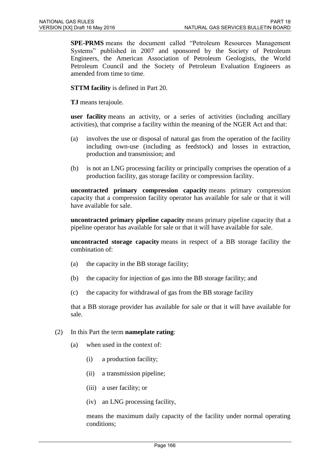**SPE-PRMS** means the document called "Petroleum Resources Management Systems" published in 2007 and sponsored by the Society of Petroleum Engineers, the American Association of Petroleum Geologists, the World Petroleum Council and the Society of Petroleum Evaluation Engineers as amended from time to time.

**STTM facility** is defined in Part 20.

**TJ** means terajoule.

**user facility** means an activity, or a series of activities (including ancillary activities), that comprise a facility within the meaning of the NGER Act and that:

- (a) involves the use or disposal of natural gas from the operation of the facility including own-use (including as feedstock) and losses in extraction, production and transmission; and
- (b) is not an LNG processing facility or principally comprises the operation of a production facility, gas storage facility or compression facility.

**uncontracted primary compression capacity** means primary compression capacity that a compression facility operator has available for sale or that it will have available for sale.

**uncontracted primary pipeline capacity** means primary pipeline capacity that a pipeline operator has available for sale or that it will have available for sale.

**uncontracted storage capacity** means in respect of a BB storage facility the combination of:

- (a) the capacity in the BB storage facility;
- (b) the capacity for injection of gas into the BB storage facility; and
- (c) the capacity for withdrawal of gas from the BB storage facility

that a BB storage provider has available for sale or that it will have available for sale.

#### (2) In this Part the term **nameplate rating**:

- (a) when used in the context of:
	- (i) a production facility;
	- (ii) a transmission pipeline;
	- (iii) a user facility; or
	- (iv) an LNG processing facility,

means the maximum daily capacity of the facility under normal operating conditions;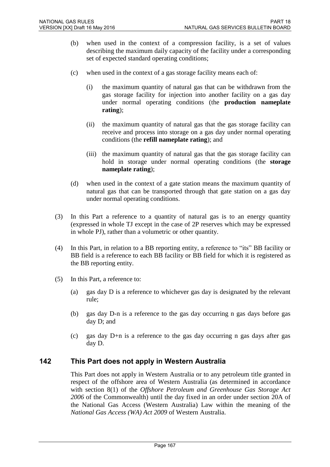- (b) when used in the context of a compression facility, is a set of values describing the maximum daily capacity of the facility under a corresponding set of expected standard operating conditions;
- (c) when used in the context of a gas storage facility means each of:
	- (i) the maximum quantity of natural gas that can be withdrawn from the gas storage facility for injection into another facility on a gas day under normal operating conditions (the **production nameplate rating**);
	- (ii) the maximum quantity of natural gas that the gas storage facility can receive and process into storage on a gas day under normal operating conditions (the **refill nameplate rating**); and
	- (iii) the maximum quantity of natural gas that the gas storage facility can hold in storage under normal operating conditions (the **storage nameplate rating**);
- (d) when used in the context of a gate station means the maximum quantity of natural gas that can be transported through that gate station on a gas day under normal operating conditions.
- (3) In this Part a reference to a quantity of natural gas is to an energy quantity (expressed in whole TJ except in the case of 2P reserves which may be expressed in whole PJ), rather than a volumetric or other quantity.
- (4) In this Part, in relation to a BB reporting entity, a reference to "its" BB facility or BB field is a reference to each BB facility or BB field for which it is registered as the BB reporting entity.
- (5) In this Part, a reference to:
	- (a) gas day D is a reference to whichever gas day is designated by the relevant rule;
	- (b) gas day D-n is a reference to the gas day occurring n gas days before gas day D; and
	- (c) gas day D+n is a reference to the gas day occurring n gas days after gas day D.

### **142 This Part does not apply in Western Australia**

This Part does not apply in Western Australia or to any petroleum title granted in respect of the offshore area of Western Australia (as determined in accordance with section 8(1) of the *Offshore Petroleum and Greenhouse Gas Storage Act 2006* of the Commonwealth) until the day fixed in an order under section 20A of the National Gas Access (Western Australia) Law within the meaning of the *National Gas Access (WA) Act 2009* of Western Australia.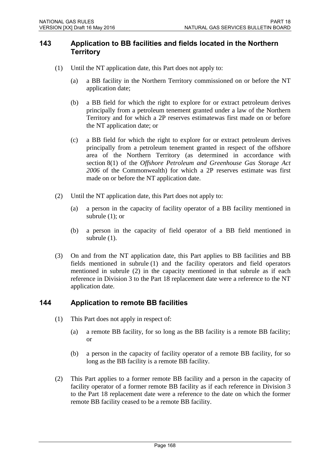### **143 Application to BB facilities and fields located in the Northern Territory**

- (1) Until the NT application date, this Part does not apply to:
	- (a) a BB facility in the Northern Territory commissioned on or before the NT application date;
	- (b) a BB field for which the right to explore for or extract petroleum derives principally from a petroleum tenement granted under a law of the Northern Territory and for which a 2P reserves estimatewas first made on or before the NT application date; or
	- (c) a BB field for which the right to explore for or extract petroleum derives principally from a petroleum tenement granted in respect of the offshore area of the Northern Territory (as determined in accordance with section 8(1) of the *Offshore Petroleum and Greenhouse Gas Storage Act 2006* of the Commonwealth) for which a 2P reserves estimate was first made on or before the NT application date.
- (2) Until the NT application date, this Part does not apply to:
	- (a) a person in the capacity of facility operator of a BB facility mentioned in subrule (1); or
	- (b) a person in the capacity of field operator of a BB field mentioned in subrule (1).
- (3) On and from the NT application date, this Part applies to BB facilities and BB fields mentioned in subrule (1) and the facility operators and field operators mentioned in subrule (2) in the capacity mentioned in that subrule as if each reference in Division 3 to the Part 18 replacement date were a reference to the NT application date.

### **144 Application to remote BB facilities**

- (1) This Part does not apply in respect of:
	- (a) a remote BB facility, for so long as the BB facility is a remote BB facility; or
	- (b) a person in the capacity of facility operator of a remote BB facility, for so long as the BB facility is a remote BB facility.
- (2) This Part applies to a former remote BB facility and a person in the capacity of facility operator of a former remote BB facility as if each reference in Division 3 to the Part 18 replacement date were a reference to the date on which the former remote BB facility ceased to be a remote BB facility.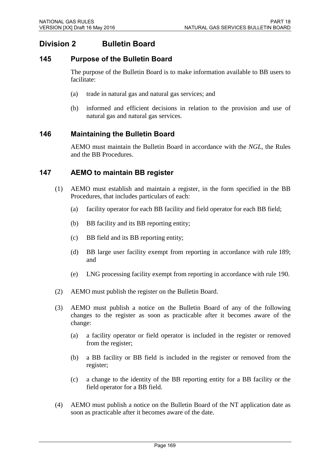# **Division 2 Bulletin Board**

### **145 Purpose of the Bulletin Board**

The purpose of the Bulletin Board is to make information available to BB users to facilitate:

- (a) trade in natural gas and natural gas services; and
- (b) informed and efficient decisions in relation to the provision and use of natural gas and natural gas services.

### **146 Maintaining the Bulletin Board**

AEMO must maintain the Bulletin Board in accordance with the *NGL*, the Rules and the BB Procedures.

### **147 AEMO to maintain BB register**

- (1) AEMO must establish and maintain a register, in the form specified in the BB Procedures, that includes particulars of each:
	- (a) facility operator for each BB facility and field operator for each BB field;
	- (b) BB facility and its BB reporting entity;
	- (c) BB field and its BB reporting entity;
	- (d) BB large user facility exempt from reporting in accordance with rule 189; and
	- (e) LNG processing facility exempt from reporting in accordance with rule 190.
- (2) AEMO must publish the register on the Bulletin Board.
- (3) AEMO must publish a notice on the Bulletin Board of any of the following changes to the register as soon as practicable after it becomes aware of the change:
	- (a) a facility operator or field operator is included in the register or removed from the register;
	- (b) a BB facility or BB field is included in the register or removed from the register;
	- (c) a change to the identity of the BB reporting entity for a BB facility or the field operator for a BB field.
- (4) AEMO must publish a notice on the Bulletin Board of the NT application date as soon as practicable after it becomes aware of the date.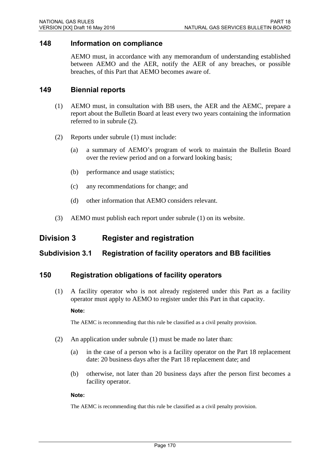#### **148 Information on compliance**

AEMO must, in accordance with any memorandum of understanding established between AEMO and the AER, notify the AER of any breaches, or possible breaches, of this Part that AEMO becomes aware of.

#### **149 Biennial reports**

- (1) AEMO must, in consultation with BB users, the AER and the AEMC, prepare a report about the Bulletin Board at least every two years containing the information referred to in subrule (2).
- (2) Reports under subrule (1) must include:
	- (a) a summary of AEMO's program of work to maintain the Bulletin Board over the review period and on a forward looking basis;
	- (b) performance and usage statistics;
	- (c) any recommendations for change; and
	- (d) other information that AEMO considers relevant.
- (3) AEMO must publish each report under subrule (1) on its website.

# **Division 3 Register and registration**

### **Subdivision 3.1 Registration of facility operators and BB facilities**

#### **150 Registration obligations of facility operators**

(1) A facility operator who is not already registered under this Part as a facility operator must apply to AEMO to register under this Part in that capacity.

#### **Note:**

The AEMC is recommending that this rule be classified as a civil penalty provision.

- (2) An application under subrule (1) must be made no later than:
	- (a) in the case of a person who is a facility operator on the Part 18 replacement date: 20 business days after the Part 18 replacement date; and
	- (b) otherwise, not later than 20 business days after the person first becomes a facility operator.

#### **Note:**

The AEMC is recommending that this rule be classified as a civil penalty provision.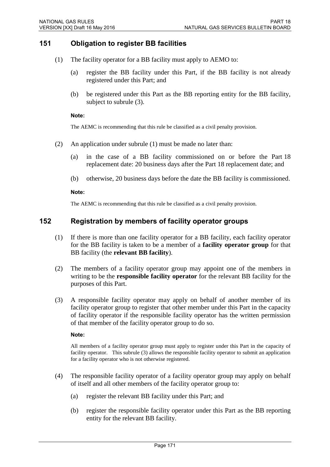### **151 Obligation to register BB facilities**

- (1) The facility operator for a BB facility must apply to AEMO to:
	- (a) register the BB facility under this Part, if the BB facility is not already registered under this Part; and
	- (b) be registered under this Part as the BB reporting entity for the BB facility, subject to subrule (3).

#### **Note:**

The AEMC is recommending that this rule be classified as a civil penalty provision.

- (2) An application under subrule (1) must be made no later than:
	- (a) in the case of a BB facility commissioned on or before the Part 18 replacement date: 20 business days after the Part 18 replacement date; and
	- (b) otherwise, 20 business days before the date the BB facility is commissioned.

#### **Note:**

The AEMC is recommending that this rule be classified as a civil penalty provision.

#### **152 Registration by members of facility operator groups**

- (1) If there is more than one facility operator for a BB facility, each facility operator for the BB facility is taken to be a member of a **facility operator group** for that BB facility (the **relevant BB facility**).
- (2) The members of a facility operator group may appoint one of the members in writing to be the **responsible facility operator** for the relevant BB facility for the purposes of this Part.
- (3) A responsible facility operator may apply on behalf of another member of its facility operator group to register that other member under this Part in the capacity of facility operator if the responsible facility operator has the written permission of that member of the facility operator group to do so.

#### **Note:**

All members of a facility operator group must apply to register under this Part in the capacity of facility operator. This subrule (3) allows the responsible facility operator to submit an application for a facility operator who is not otherwise registered.

- (4) The responsible facility operator of a facility operator group may apply on behalf of itself and all other members of the facility operator group to:
	- (a) register the relevant BB facility under this Part; and
	- (b) register the responsible facility operator under this Part as the BB reporting entity for the relevant BB facility.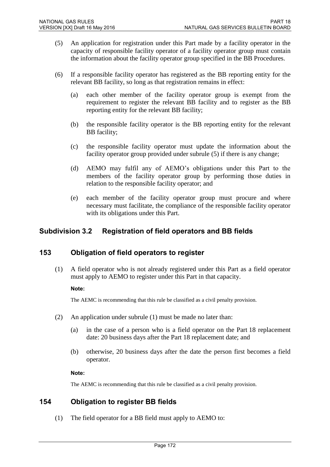- (5) An application for registration under this Part made by a facility operator in the capacity of responsible facility operator of a facility operator group must contain the information about the facility operator group specified in the BB Procedures.
- (6) If a responsible facility operator has registered as the BB reporting entity for the relevant BB facility, so long as that registration remains in effect:
	- (a) each other member of the facility operator group is exempt from the requirement to register the relevant BB facility and to register as the BB reporting entity for the relevant BB facility;
	- (b) the responsible facility operator is the BB reporting entity for the relevant BB facility;
	- (c) the responsible facility operator must update the information about the facility operator group provided under subrule (5) if there is any change;
	- (d) AEMO may fulfil any of AEMO's obligations under this Part to the members of the facility operator group by performing those duties in relation to the responsible facility operator; and
	- (e) each member of the facility operator group must procure and where necessary must facilitate, the compliance of the responsible facility operator with its obligations under this Part.

# **Subdivision 3.2 Registration of field operators and BB fields**

### **153 Obligation of field operators to register**

(1) A field operator who is not already registered under this Part as a field operator must apply to AEMO to register under this Part in that capacity.

#### **Note:**

The AEMC is recommending that this rule be classified as a civil penalty provision.

- (2) An application under subrule (1) must be made no later than:
	- (a) in the case of a person who is a field operator on the Part 18 replacement date: 20 business days after the Part 18 replacement date; and
	- (b) otherwise, 20 business days after the date the person first becomes a field operator.

#### **Note:**

The AEMC is recommending that this rule be classified as a civil penalty provision.

### **154 Obligation to register BB fields**

(1) The field operator for a BB field must apply to AEMO to: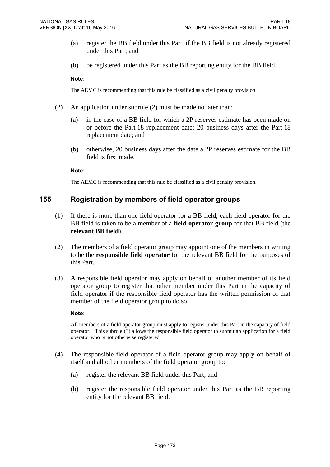- (a) register the BB field under this Part, if the BB field is not already registered under this Part; and
- (b) be registered under this Part as the BB reporting entity for the BB field.

#### **Note:**

The AEMC is recommending that this rule be classified as a civil penalty provision.

- (2) An application under subrule (2) must be made no later than:
	- (a) in the case of a BB field for which a 2P reserves estimate has been made on or before the Part 18 replacement date: 20 business days after the Part 18 replacement date; and
	- (b) otherwise, 20 business days after the date a 2P reserves estimate for the BB field is first made.

#### **Note:**

The AEMC is recommending that this rule be classified as a civil penalty provision.

#### **155 Registration by members of field operator groups**

- (1) If there is more than one field operator for a BB field, each field operator for the BB field is taken to be a member of a **field operator group** for that BB field (the **relevant BB field**).
- (2) The members of a field operator group may appoint one of the members in writing to be the **responsible field operator** for the relevant BB field for the purposes of this Part.
- (3) A responsible field operator may apply on behalf of another member of its field operator group to register that other member under this Part in the capacity of field operator if the responsible field operator has the written permission of that member of the field operator group to do so.

#### **Note:**

All members of a field operator group must apply to register under this Part in the capacity of field operator. This subrule (3) allows the responsible field operator to submit an application for a field operator who is not otherwise registered.

- (4) The responsible field operator of a field operator group may apply on behalf of itself and all other members of the field operator group to:
	- (a) register the relevant BB field under this Part; and
	- (b) register the responsible field operator under this Part as the BB reporting entity for the relevant BB field.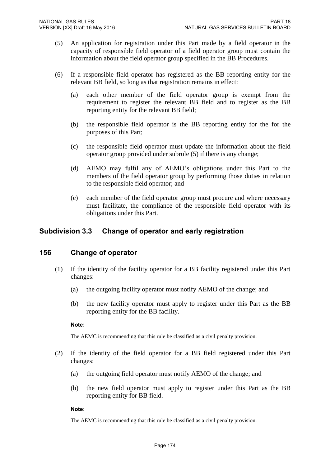- (5) An application for registration under this Part made by a field operator in the capacity of responsible field operator of a field operator group must contain the information about the field operator group specified in the BB Procedures.
- (6) If a responsible field operator has registered as the BB reporting entity for the relevant BB field, so long as that registration remains in effect:
	- (a) each other member of the field operator group is exempt from the requirement to register the relevant BB field and to register as the BB reporting entity for the relevant BB field;
	- (b) the responsible field operator is the BB reporting entity for the for the purposes of this Part;
	- (c) the responsible field operator must update the information about the field operator group provided under subrule (5) if there is any change;
	- (d) AEMO may fulfil any of AEMO's obligations under this Part to the members of the field operator group by performing those duties in relation to the responsible field operator; and
	- (e) each member of the field operator group must procure and where necessary must facilitate, the compliance of the responsible field operator with its obligations under this Part.

### **Subdivision 3.3 Change of operator and early registration**

### **156 Change of operator**

- (1) If the identity of the facility operator for a BB facility registered under this Part changes:
	- (a) the outgoing facility operator must notify AEMO of the change; and
	- (b) the new facility operator must apply to register under this Part as the BB reporting entity for the BB facility.

#### **Note:**

The AEMC is recommending that this rule be classified as a civil penalty provision.

- (2) If the identity of the field operator for a BB field registered under this Part changes:
	- (a) the outgoing field operator must notify AEMO of the change; and
	- (b) the new field operator must apply to register under this Part as the BB reporting entity for BB field.

#### **Note:**

The AEMC is recommending that this rule be classified as a civil penalty provision.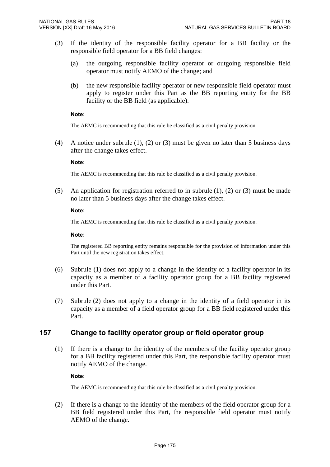- (3) If the identity of the responsible facility operator for a BB facility or the responsible field operator for a BB field changes:
	- (a) the outgoing responsible facility operator or outgoing responsible field operator must notify AEMO of the change; and
	- (b) the new responsible facility operator or new responsible field operator must apply to register under this Part as the BB reporting entity for the BB facility or the BB field (as applicable).

#### **Note:**

The AEMC is recommending that this rule be classified as a civil penalty provision.

(4) A notice under subrule (1), (2) or (3) must be given no later than 5 business days after the change takes effect.

#### **Note:**

The AEMC is recommending that this rule be classified as a civil penalty provision.

(5) An application for registration referred to in subrule (1), (2) or (3) must be made no later than 5 business days after the change takes effect.

#### **Note:**

The AEMC is recommending that this rule be classified as a civil penalty provision.

#### **Note:**

The registered BB reporting entity remains responsible for the provision of information under this Part until the new registration takes effect.

- (6) Subrule (1) does not apply to a change in the identity of a facility operator in its capacity as a member of a facility operator group for a BB facility registered under this Part.
- (7) Subrule (2) does not apply to a change in the identity of a field operator in its capacity as a member of a field operator group for a BB field registered under this Part.

#### **157 Change to facility operator group or field operator group**

(1) If there is a change to the identity of the members of the facility operator group for a BB facility registered under this Part, the responsible facility operator must notify AEMO of the change.

#### **Note:**

The AEMC is recommending that this rule be classified as a civil penalty provision.

(2) If there is a change to the identity of the members of the field operator group for a BB field registered under this Part, the responsible field operator must notify AEMO of the change.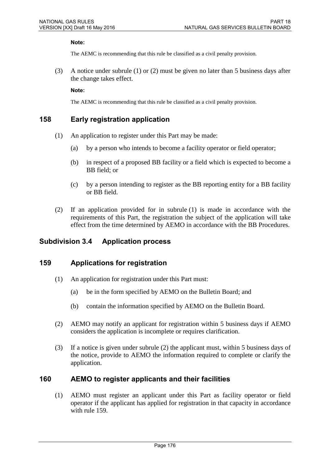#### **Note:**

The AEMC is recommending that this rule be classified as a civil penalty provision.

(3) A notice under subrule (1) or (2) must be given no later than 5 business days after the change takes effect.

**Note:** 

The AEMC is recommending that this rule be classified as a civil penalty provision.

### **158 Early registration application**

- (1) An application to register under this Part may be made:
	- (a) by a person who intends to become a facility operator or field operator;
	- (b) in respect of a proposed BB facility or a field which is expected to become a BB field; or
	- (c) by a person intending to register as the BB reporting entity for a BB facility or BB field.
- (2) If an application provided for in subrule (1) is made in accordance with the requirements of this Part, the registration the subject of the application will take effect from the time determined by AEMO in accordance with the BB Procedures.

### **Subdivision 3.4 Application process**

#### **159 Applications for registration**

- (1) An application for registration under this Part must:
	- (a) be in the form specified by AEMO on the Bulletin Board; and
	- (b) contain the information specified by AEMO on the Bulletin Board.
- (2) AEMO may notify an applicant for registration within 5 business days if AEMO considers the application is incomplete or requires clarification.
- (3) If a notice is given under subrule (2) the applicant must, within 5 business days of the notice, provide to AEMO the information required to complete or clarify the application.

#### **160 AEMO to register applicants and their facilities**

(1) AEMO must register an applicant under this Part as facility operator or field operator if the applicant has applied for registration in that capacity in accordance with rule 159.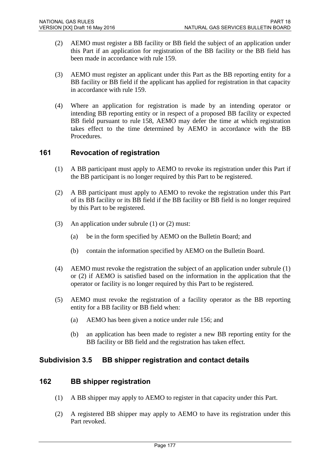- (2) AEMO must register a BB facility or BB field the subject of an application under this Part if an application for registration of the BB facility or the BB field has been made in accordance with rule 159.
- (3) AEMO must register an applicant under this Part as the BB reporting entity for a BB facility or BB field if the applicant has applied for registration in that capacity in accordance with rule 159.
- (4) Where an application for registration is made by an intending operator or intending BB reporting entity or in respect of a proposed BB facility or expected BB field pursuant to rule 158, AEMO may defer the time at which registration takes effect to the time determined by AEMO in accordance with the BB Procedures.

### **161 Revocation of registration**

- (1) A BB participant must apply to AEMO to revoke its registration under this Part if the BB participant is no longer required by this Part to be registered.
- (2) A BB participant must apply to AEMO to revoke the registration under this Part of its BB facility or its BB field if the BB facility or BB field is no longer required by this Part to be registered.
- (3) An application under subrule (1) or (2) must:
	- (a) be in the form specified by AEMO on the Bulletin Board; and
	- (b) contain the information specified by AEMO on the Bulletin Board.
- (4) AEMO must revoke the registration the subject of an application under subrule (1) or (2) if AEMO is satisfied based on the information in the application that the operator or facility is no longer required by this Part to be registered.
- (5) AEMO must revoke the registration of a facility operator as the BB reporting entity for a BB facility or BB field when:
	- (a) AEMO has been given a notice under rule 156; and
	- (b) an application has been made to register a new BB reporting entity for the BB facility or BB field and the registration has taken effect.

### **Subdivision 3.5 BB shipper registration and contact details**

#### **162 BB shipper registration**

- (1) A BB shipper may apply to AEMO to register in that capacity under this Part.
- (2) A registered BB shipper may apply to AEMO to have its registration under this Part revoked.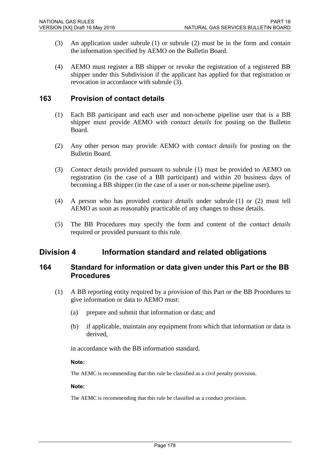- (3) An application under subrule (1) or subrule (2) must be in the form and contain the information specified by AEMO on the Bulletin Board.
- (4) AEMO must register a BB shipper or revoke the registration of a registered BB shipper under this Subdivision if the applicant has applied for that registration or revocation in accordance with subrule (3).

#### **163 Provision of contact details**

- (1) Each BB participant and each user and non-scheme pipeline user that is a BB shipper must provide AEMO with *contact details* for posting on the Bulletin Board.
- (2) Any other person may provide AEMO with *contact details* for posting on the Bulletin Board.
- (3) *Contact details* provided pursuant to subrule (1) must be provided to AEMO on registration (in the case of a BB participant) and within 20 business days of becoming a BB shipper (in the case of a user or non-scheme pipeline user).
- (4) A person who has provided *contact details* under subrule (1) or (2) must tell AEMO as soon as reasonably practicable of any changes to those details.
- (5) The BB Procedures may specify the form and content of the *contact details* required or provided pursuant to this rule.

### **Division 4 Information standard and related obligations**

### **164 Standard for information or data given under this Part or the BB Procedures**

- (1) A BB reporting entity required by a provision of this Part or the BB Procedures to give information or data to AEMO must:
	- (a) prepare and submit that information or data; and
	- (b) if applicable, maintain any equipment from which that information or data is derived,

in accordance with the BB information standard.

#### **Note:**

The AEMC is recommending that this rule be classified as a civil penalty provision.

#### **Note:**

The AEMC is recommending that this rule be classified as a conduct provision.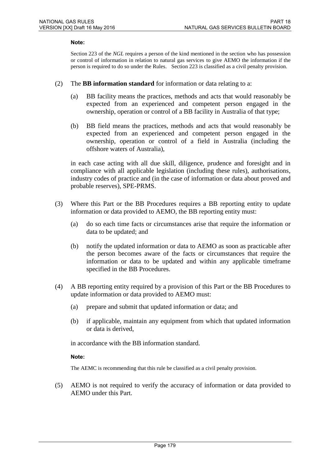#### **Note:**

Section 223 of the *NGL* requires a person of the kind mentioned in the section who has possession or control of information in relation to natural gas services to give AEMO the information if the person is required to do so under the Rules. Section 223 is classified as a civil penalty provision.

- (2) The **BB information standard** for information or data relating to a:
	- (a) BB facility means the practices, methods and acts that would reasonably be expected from an experienced and competent person engaged in the ownership, operation or control of a BB facility in Australia of that type;
	- (b) BB field means the practices, methods and acts that would reasonably be expected from an experienced and competent person engaged in the ownership, operation or control of a field in Australia (including the offshore waters of Australia),

in each case acting with all due skill, diligence, prudence and foresight and in compliance with all applicable legislation (including these rules), authorisations, industry codes of practice and (in the case of information or data about proved and probable reserves), SPE-PRMS.

- (3) Where this Part or the BB Procedures requires a BB reporting entity to update information or data provided to AEMO, the BB reporting entity must:
	- (a) do so each time facts or circumstances arise that require the information or data to be updated; and
	- (b) notify the updated information or data to AEMO as soon as practicable after the person becomes aware of the facts or circumstances that require the information or data to be updated and within any applicable timeframe specified in the BB Procedures.
- (4) A BB reporting entity required by a provision of this Part or the BB Procedures to update information or data provided to AEMO must:
	- (a) prepare and submit that updated information or data; and
	- (b) if applicable, maintain any equipment from which that updated information or data is derived,

in accordance with the BB information standard.

#### **Note:**

The AEMC is recommending that this rule be classified as a civil penalty provision.

(5) AEMO is not required to verify the accuracy of information or data provided to AEMO under this Part.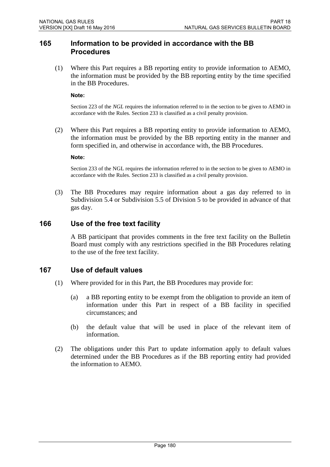#### **165 Information to be provided in accordance with the BB Procedures**

(1) Where this Part requires a BB reporting entity to provide information to AEMO, the information must be provided by the BB reporting entity by the time specified in the BB Procedures.

**Note:** 

Section 223 of the *NGL* requires the information referred to in the section to be given to AEMO in accordance with the Rules. Section 233 is classified as a civil penalty provision.

(2) Where this Part requires a BB reporting entity to provide information to AEMO, the information must be provided by the BB reporting entity in the manner and form specified in, and otherwise in accordance with, the BB Procedures.

**Note:** 

Section 233 of the NGL requires the information referred to in the section to be given to AEMO in accordance with the Rules. Section 233 is classified as a civil penalty provision.

(3) The BB Procedures may require information about a gas day referred to in Subdivision 5.4 or Subdivision 5.5 of Division 5 to be provided in advance of that gas day.

#### **166 Use of the free text facility**

A BB participant that provides comments in the free text facility on the Bulletin Board must comply with any restrictions specified in the BB Procedures relating to the use of the free text facility.

#### **167 Use of default values**

- (1) Where provided for in this Part, the BB Procedures may provide for:
	- (a) a BB reporting entity to be exempt from the obligation to provide an item of information under this Part in respect of a BB facility in specified circumstances; and
	- (b) the default value that will be used in place of the relevant item of information.
- (2) The obligations under this Part to update information apply to default values determined under the BB Procedures as if the BB reporting entity had provided the information to AEMO.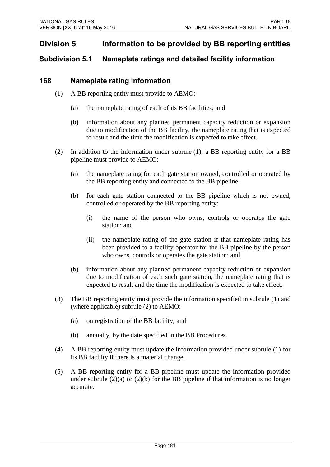# **Division 5 Information to be provided by BB reporting entities**

### **Subdivision 5.1 Nameplate ratings and detailed facility information**

### **168 Nameplate rating information**

- (1) A BB reporting entity must provide to AEMO:
	- (a) the nameplate rating of each of its BB facilities; and
	- (b) information about any planned permanent capacity reduction or expansion due to modification of the BB facility, the nameplate rating that is expected to result and the time the modification is expected to take effect.
- (2) In addition to the information under subrule (1), a BB reporting entity for a BB pipeline must provide to AEMO:
	- (a) the nameplate rating for each gate station owned, controlled or operated by the BB reporting entity and connected to the BB pipeline;
	- (b) for each gate station connected to the BB pipeline which is not owned, controlled or operated by the BB reporting entity:
		- (i) the name of the person who owns, controls or operates the gate station; and
		- (ii) the nameplate rating of the gate station if that nameplate rating has been provided to a facility operator for the BB pipeline by the person who owns, controls or operates the gate station; and
	- (b) information about any planned permanent capacity reduction or expansion due to modification of each such gate station, the nameplate rating that is expected to result and the time the modification is expected to take effect.
- (3) The BB reporting entity must provide the information specified in subrule (1) and (where applicable) subrule (2) to AEMO:
	- (a) on registration of the BB facility; and
	- (b) annually, by the date specified in the BB Procedures.
- (4) A BB reporting entity must update the information provided under subrule (1) for its BB facility if there is a material change.
- (5) A BB reporting entity for a BB pipeline must update the information provided under subrule  $(2)(a)$  or  $(2)(b)$  for the BB pipeline if that information is no longer accurate.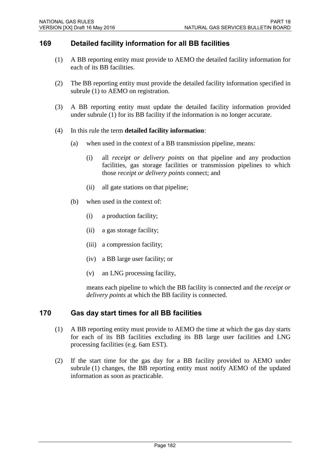### **169 Detailed facility information for all BB facilities**

- (1) A BB reporting entity must provide to AEMO the detailed facility information for each of its BB facilities.
- (2) The BB reporting entity must provide the detailed facility information specified in subrule (1) to AEMO on registration.
- (3) A BB reporting entity must update the detailed facility information provided under subrule (1) for its BB facility if the information is no longer accurate.
- (4) In this rule the term **detailed facility information**:
	- (a) when used in the context of a BB transmission pipeline, means:
		- (i) all *receipt or delivery points* on that pipeline and any production facilities, gas storage facilities or transmission pipelines to which those *receipt or delivery points* connect; and
		- (ii) all gate stations on that pipeline;
	- (b) when used in the context of:
		- (i) a production facility;
		- (ii) a gas storage facility;
		- (iii) a compression facility;
		- (iv) a BB large user facility; or
		- (v) an LNG processing facility,

means each pipeline to which the BB facility is connected and the *receipt or delivery points* at which the BB facility is connected.

#### **170 Gas day start times for all BB facilities**

- (1) A BB reporting entity must provide to AEMO the time at which the gas day starts for each of its BB facilities excluding its BB large user facilities and LNG processing facilities (e.g. 6am EST).
- (2) If the start time for the gas day for a BB facility provided to AEMO under subrule (1) changes, the BB reporting entity must notify AEMO of the updated information as soon as practicable.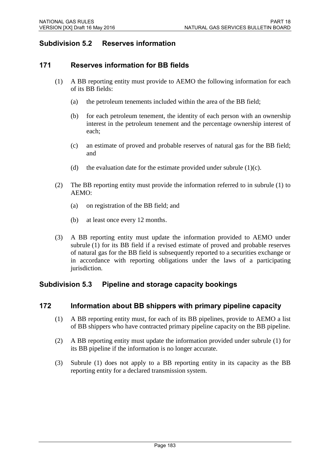# **Subdivision 5.2 Reserves information**

### **171 Reserves information for BB fields**

- (1) A BB reporting entity must provide to AEMO the following information for each of its BB fields:
	- (a) the petroleum tenements included within the area of the BB field;
	- (b) for each petroleum tenement, the identity of each person with an ownership interest in the petroleum tenement and the percentage ownership interest of each;
	- (c) an estimate of proved and probable reserves of natural gas for the BB field; and
	- (d) the evaluation date for the estimate provided under subrule  $(1)(c)$ .
- (2) The BB reporting entity must provide the information referred to in subrule (1) to AEMO:
	- (a) on registration of the BB field; and
	- (b) at least once every 12 months.
- (3) A BB reporting entity must update the information provided to AEMO under subrule (1) for its BB field if a revised estimate of proved and probable reserves of natural gas for the BB field is subsequently reported to a securities exchange or in accordance with reporting obligations under the laws of a participating jurisdiction.

### **Subdivision 5.3 Pipeline and storage capacity bookings**

### **172 Information about BB shippers with primary pipeline capacity**

- (1) A BB reporting entity must, for each of its BB pipelines, provide to AEMO a list of BB shippers who have contracted primary pipeline capacity on the BB pipeline.
- (2) A BB reporting entity must update the information provided under subrule (1) for its BB pipeline if the information is no longer accurate.
- (3) Subrule (1) does not apply to a BB reporting entity in its capacity as the BB reporting entity for a declared transmission system.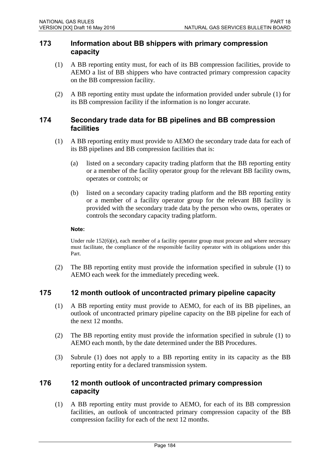#### **173 Information about BB shippers with primary compression capacity**

- (1) A BB reporting entity must, for each of its BB compression facilities, provide to AEMO a list of BB shippers who have contracted primary compression capacity on the BB compression facility.
- (2) A BB reporting entity must update the information provided under subrule (1) for its BB compression facility if the information is no longer accurate.

#### **174 Secondary trade data for BB pipelines and BB compression facilities**

- (1) A BB reporting entity must provide to AEMO the secondary trade data for each of its BB pipelines and BB compression facilities that is:
	- (a) listed on a secondary capacity trading platform that the BB reporting entity or a member of the facility operator group for the relevant BB facility owns, operates or controls; or
	- (b) listed on a secondary capacity trading platform and the BB reporting entity or a member of a facility operator group for the relevant BB facility is provided with the secondary trade data by the person who owns, operates or controls the secondary capacity trading platform.

#### **Note:**

Under rule 152(6)(e), each member of a facility operator group must procure and where necessary must facilitate, the compliance of the responsible facility operator with its obligations under this Part.

(2) The BB reporting entity must provide the information specified in subrule (1) to AEMO each week for the immediately preceding week.

### **175 12 month outlook of uncontracted primary pipeline capacity**

- (1) A BB reporting entity must provide to AEMO, for each of its BB pipelines, an outlook of uncontracted primary pipeline capacity on the BB pipeline for each of the next 12 months.
- (2) The BB reporting entity must provide the information specified in subrule (1) to AEMO each month, by the date determined under the BB Procedures.
- (3) Subrule (1) does not apply to a BB reporting entity in its capacity as the BB reporting entity for a declared transmission system.

### **176 12 month outlook of uncontracted primary compression capacity**

(1) A BB reporting entity must provide to AEMO, for each of its BB compression facilities, an outlook of uncontracted primary compression capacity of the BB compression facility for each of the next 12 months.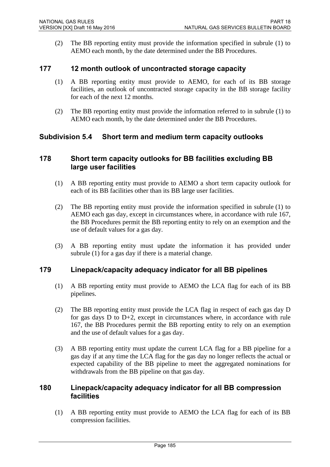(2) The BB reporting entity must provide the information specified in subrule (1) to AEMO each month, by the date determined under the BB Procedures.

#### **177 12 month outlook of uncontracted storage capacity**

- (1) A BB reporting entity must provide to AEMO, for each of its BB storage facilities, an outlook of uncontracted storage capacity in the BB storage facility for each of the next 12 months.
- (2) The BB reporting entity must provide the information referred to in subrule (1) to AEMO each month, by the date determined under the BB Procedures.

#### **Subdivision 5.4 Short term and medium term capacity outlooks**

#### **178 Short term capacity outlooks for BB facilities excluding BB large user facilities**

- (1) A BB reporting entity must provide to AEMO a short term capacity outlook for each of its BB facilities other than its BB large user facilities.
- (2) The BB reporting entity must provide the information specified in subrule (1) to AEMO each gas day, except in circumstances where, in accordance with rule 167, the BB Procedures permit the BB reporting entity to rely on an exemption and the use of default values for a gas day.
- (3) A BB reporting entity must update the information it has provided under subrule (1) for a gas day if there is a material change.

#### **179 Linepack/capacity adequacy indicator for all BB pipelines**

- (1) A BB reporting entity must provide to AEMO the LCA flag for each of its BB pipelines.
- (2) The BB reporting entity must provide the LCA flag in respect of each gas day D for gas days  $D$  to  $D+2$ , except in circumstances where, in accordance with rule 167, the BB Procedures permit the BB reporting entity to rely on an exemption and the use of default values for a gas day.
- (3) A BB reporting entity must update the current LCA flag for a BB pipeline for a gas day if at any time the LCA flag for the gas day no longer reflects the actual or expected capability of the BB pipeline to meet the aggregated nominations for withdrawals from the BB pipeline on that gas day.

#### **180 Linepack/capacity adequacy indicator for all BB compression facilities**

(1) A BB reporting entity must provide to AEMO the LCA flag for each of its BB compression facilities.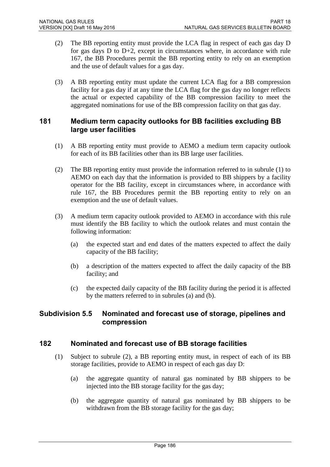- (2) The BB reporting entity must provide the LCA flag in respect of each gas day D for gas days D to D+2, except in circumstances where, in accordance with rule 167, the BB Procedures permit the BB reporting entity to rely on an exemption and the use of default values for a gas day.
- (3) A BB reporting entity must update the current LCA flag for a BB compression facility for a gas day if at any time the LCA flag for the gas day no longer reflects the actual or expected capability of the BB compression facility to meet the aggregated nominations for use of the BB compression facility on that gas day.

### **181 Medium term capacity outlooks for BB facilities excluding BB large user facilities**

- (1) A BB reporting entity must provide to AEMO a medium term capacity outlook for each of its BB facilities other than its BB large user facilities.
- (2) The BB reporting entity must provide the information referred to in subrule (1) to AEMO on each day that the information is provided to BB shippers by a facility operator for the BB facility, except in circumstances where, in accordance with rule 167, the BB Procedures permit the BB reporting entity to rely on an exemption and the use of default values.
- (3) A medium term capacity outlook provided to AEMO in accordance with this rule must identify the BB facility to which the outlook relates and must contain the following information:
	- (a) the expected start and end dates of the matters expected to affect the daily capacity of the BB facility;
	- (b) a description of the matters expected to affect the daily capacity of the BB facility; and
	- (c) the expected daily capacity of the BB facility during the period it is affected by the matters referred to in subrules (a) and (b).

### **Subdivision 5.5 Nominated and forecast use of storage, pipelines and compression**

### **182 Nominated and forecast use of BB storage facilities**

- (1) Subject to subrule (2), a BB reporting entity must, in respect of each of its BB storage facilities, provide to AEMO in respect of each gas day D:
	- (a) the aggregate quantity of natural gas nominated by BB shippers to be injected into the BB storage facility for the gas day;
	- (b) the aggregate quantity of natural gas nominated by BB shippers to be withdrawn from the BB storage facility for the gas day;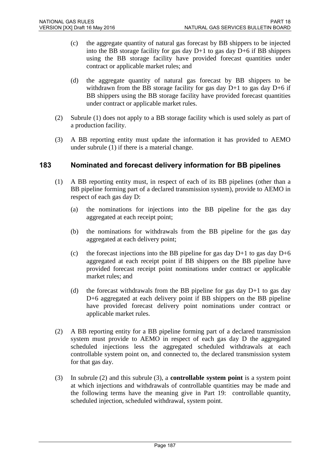- (c) the aggregate quantity of natural gas forecast by BB shippers to be injected into the BB storage facility for gas day D+1 to gas day D+6 if BB shippers using the BB storage facility have provided forecast quantities under contract or applicable market rules; and
- (d) the aggregate quantity of natural gas forecast by BB shippers to be withdrawn from the BB storage facility for gas day  $D+1$  to gas day  $D+6$  if BB shippers using the BB storage facility have provided forecast quantities under contract or applicable market rules.
- (2) Subrule (1) does not apply to a BB storage facility which is used solely as part of a production facility.
- (3) A BB reporting entity must update the information it has provided to AEMO under subrule (1) if there is a material change.

### **183 Nominated and forecast delivery information for BB pipelines**

- (1) A BB reporting entity must, in respect of each of its BB pipelines (other than a BB pipeline forming part of a declared transmission system), provide to AEMO in respect of each gas day D:
	- (a) the nominations for injections into the BB pipeline for the gas day aggregated at each receipt point;
	- (b) the nominations for withdrawals from the BB pipeline for the gas day aggregated at each delivery point;
	- (c) the forecast injections into the BB pipeline for gas day  $D+1$  to gas day  $D+6$ aggregated at each receipt point if BB shippers on the BB pipeline have provided forecast receipt point nominations under contract or applicable market rules; and
	- (d) the forecast withdrawals from the BB pipeline for gas day  $D+1$  to gas day D+6 aggregated at each delivery point if BB shippers on the BB pipeline have provided forecast delivery point nominations under contract or applicable market rules.
- (2) A BB reporting entity for a BB pipeline forming part of a declared transmission system must provide to AEMO in respect of each gas day D the aggregated scheduled injections less the aggregated scheduled withdrawals at each controllable system point on, and connected to, the declared transmission system for that gas day.
- (3) In subrule (2) and this subrule (3), a **controllable system point** is a system point at which injections and withdrawals of controllable quantities may be made and the following terms have the meaning give in Part 19: controllable quantity, scheduled injection, scheduled withdrawal, system point.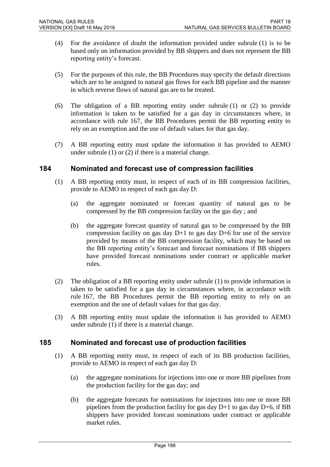- (4) For the avoidance of doubt the information provided under subrule (1) is to be based only on information provided by BB shippers and does not represent the BB reporting entity's forecast.
- (5) For the purposes of this rule, the BB Procedures may specify the default directions which are to be assigned to natural gas flows for each BB pipeline and the manner in which reverse flows of natural gas are to be treated.
- (6) The obligation of a BB reporting entity under subrule (1) or (2) to provide information is taken to be satisfied for a gas day in circumstances where, in accordance with rule 167, the BB Procedures permit the BB reporting entity to rely on an exemption and the use of default values for that gas day.
- (7) A BB reporting entity must update the information it has provided to AEMO under subrule (1) or (2) if there is a material change.

### **184 Nominated and forecast use of compression facilities**

- (1) A BB reporting entity must, in respect of each of its BB compression facilities, provide to AEMO in respect of each gas day D:
	- (a) the aggregate nominated or forecast quantity of natural gas to be compressed by the BB compression facility on the gas day ; and
	- (b) the aggregate forecast quantity of natural gas to be compressed by the BB compression facility on gas day  $D+1$  to gas day  $D+6$  for use of the service provided by means of the BB compression facility, which may be based on the BB reporting entity's forecast and forecast nominations if BB shippers have provided forecast nominations under contract or applicable market rules.
- (2) The obligation of a BB reporting entity under subrule (1) to provide information is taken to be satisfied for a gas day in circumstances where, in accordance with rule 167, the BB Procedures permit the BB reporting entity to rely on an exemption and the use of default values for that gas day.
- (3) A BB reporting entity must update the information it has provided to AEMO under subrule (1) if there is a material change.

### **185 Nominated and forecast use of production facilities**

- (1) A BB reporting entity must, in respect of each of its BB production facilities, provide to AEMO in respect of each gas day D:
	- (a) the aggregate nominations for injections into one or more BB pipelines from the production facility for the gas day; and
	- (b) the aggregate forecasts for nominations for injections into one or more BB pipelines from the production facility for gas day  $D+1$  to gas day  $D+6$ , if BB shippers have provided forecast nominations under contract or applicable market rules.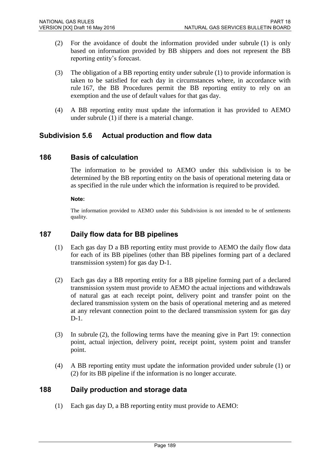- (2) For the avoidance of doubt the information provided under subrule (1) is only based on information provided by BB shippers and does not represent the BB reporting entity's forecast.
- (3) The obligation of a BB reporting entity under subrule (1) to provide information is taken to be satisfied for each day in circumstances where, in accordance with rule 167, the BB Procedures permit the BB reporting entity to rely on an exemption and the use of default values for that gas day.
- (4) A BB reporting entity must update the information it has provided to AEMO under subrule (1) if there is a material change.

### **Subdivision 5.6 Actual production and flow data**

#### **186 Basis of calculation**

The information to be provided to AEMO under this subdivision is to be determined by the BB reporting entity on the basis of operational metering data or as specified in the rule under which the information is required to be provided.

#### **Note:**

The information provided to AEMO under this Subdivision is not intended to be of settlements quality.

#### **187 Daily flow data for BB pipelines**

- (1) Each gas day D a BB reporting entity must provide to AEMO the daily flow data for each of its BB pipelines (other than BB pipelines forming part of a declared transmission system) for gas day D-1.
- (2) Each gas day a BB reporting entity for a BB pipeline forming part of a declared transmission system must provide to AEMO the actual injections and withdrawals of natural gas at each receipt point, delivery point and transfer point on the declared transmission system on the basis of operational metering and as metered at any relevant connection point to the declared transmission system for gas day D-1.
- (3) In subrule (2), the following terms have the meaning give in Part 19: connection point, actual injection, delivery point, receipt point, system point and transfer point.
- (4) A BB reporting entity must update the information provided under subrule (1) or (2) for its BB pipeline if the information is no longer accurate.

### **188 Daily production and storage data**

(1) Each gas day D, a BB reporting entity must provide to AEMO: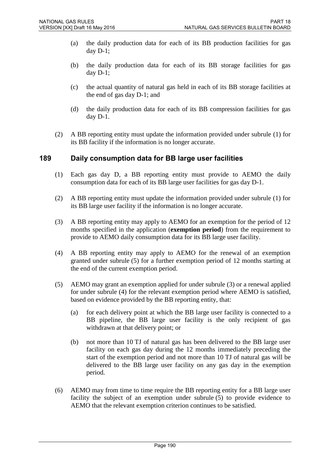- (a) the daily production data for each of its BB production facilities for gas day D-1;
- (b) the daily production data for each of its BB storage facilities for gas day  $D-1$ ;
- (c) the actual quantity of natural gas held in each of its BB storage facilities at the end of gas day D-1; and
- (d) the daily production data for each of its BB compression facilities for gas day D-1.
- (2) A BB reporting entity must update the information provided under subrule (1) for its BB facility if the information is no longer accurate.

#### **189 Daily consumption data for BB large user facilities**

- (1) Each gas day D, a BB reporting entity must provide to AEMO the daily consumption data for each of its BB large user facilities for gas day D-1.
- (2) A BB reporting entity must update the information provided under subrule (1) for its BB large user facility if the information is no longer accurate.
- (3) A BB reporting entity may apply to AEMO for an exemption for the period of 12 months specified in the application (**exemption period**) from the requirement to provide to AEMO daily consumption data for its BB large user facility.
- (4) A BB reporting entity may apply to AEMO for the renewal of an exemption granted under subrule (5) for a further exemption period of 12 months starting at the end of the current exemption period.
- (5) AEMO may grant an exemption applied for under subrule (3) or a renewal applied for under subrule (4) for the relevant exemption period where AEMO is satisfied, based on evidence provided by the BB reporting entity, that:
	- (a) for each delivery point at which the BB large user facility is connected to a BB pipeline, the BB large user facility is the only recipient of gas withdrawn at that delivery point; or
	- (b) not more than 10 TJ of natural gas has been delivered to the BB large user facility on each gas day during the 12 months immediately preceding the start of the exemption period and not more than 10 TJ of natural gas will be delivered to the BB large user facility on any gas day in the exemption period.
- (6) AEMO may from time to time require the BB reporting entity for a BB large user facility the subject of an exemption under subrule (5) to provide evidence to AEMO that the relevant exemption criterion continues to be satisfied.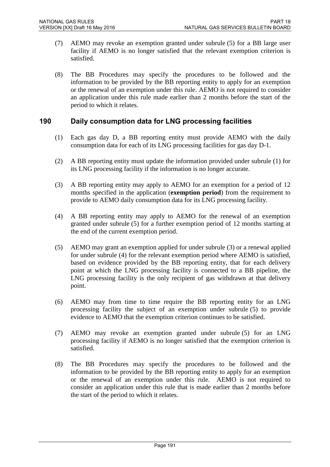- (7) AEMO may revoke an exemption granted under subrule (5) for a BB large user facility if AEMO is no longer satisfied that the relevant exemption criterion is satisfied.
- (8) The BB Procedures may specify the procedures to be followed and the information to be provided by the BB reporting entity to apply for an exemption or the renewal of an exemption under this rule. AEMO is not required to consider an application under this rule made earlier than 2 months before the start of the period to which it relates.

### **190 Daily consumption data for LNG processing facilities**

- (1) Each gas day D, a BB reporting entity must provide AEMO with the daily consumption data for each of its LNG processing facilities for gas day D-1.
- (2) A BB reporting entity must update the information provided under subrule (1) for its LNG processing facility if the information is no longer accurate.
- (3) A BB reporting entity may apply to AEMO for an exemption for a period of 12 months specified in the application (**exemption period**) from the requirement to provide to AEMO daily consumption data for its LNG processing facility.
- (4) A BB reporting entity may apply to AEMO for the renewal of an exemption granted under subrule (5) for a further exemption period of 12 months starting at the end of the current exemption period.
- (5) AEMO may grant an exemption applied for under subrule (3) or a renewal applied for under subrule (4) for the relevant exemption period where AEMO is satisfied, based on evidence provided by the BB reporting entity, that for each delivery point at which the LNG processing facility is connected to a BB pipeline, the LNG processing facility is the only recipient of gas withdrawn at that delivery point.
- (6) AEMO may from time to time require the BB reporting entity for an LNG processing facility the subject of an exemption under subrule (5) to provide evidence to AEMO that the exemption criterion continues to be satisfied.
- (7) AEMO may revoke an exemption granted under subrule (5) for an LNG processing facility if AEMO is no longer satisfied that the exemption criterion is satisfied.
- (8) The BB Procedures may specify the procedures to be followed and the information to be provided by the BB reporting entity to apply for an exemption or the renewal of an exemption under this rule. AEMO is not required to consider an application under this rule that is made earlier than 2 months before the start of the period to which it relates.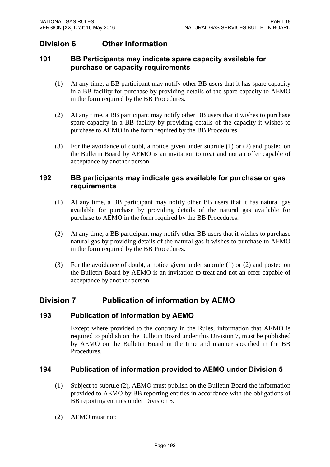# **Division 6 Other information**

### **191 BB Participants may indicate spare capacity available for purchase or capacity requirements**

- (1) At any time, a BB participant may notify other BB users that it has spare capacity in a BB facility for purchase by providing details of the spare capacity to AEMO in the form required by the BB Procedures.
- (2) At any time, a BB participant may notify other BB users that it wishes to purchase spare capacity in a BB facility by providing details of the capacity it wishes to purchase to AEMO in the form required by the BB Procedures.
- (3) For the avoidance of doubt, a notice given under subrule (1) or (2) and posted on the Bulletin Board by AEMO is an invitation to treat and not an offer capable of acceptance by another person.

#### **192 BB participants may indicate gas available for purchase or gas requirements**

- (1) At any time, a BB participant may notify other BB users that it has natural gas available for purchase by providing details of the natural gas available for purchase to AEMO in the form required by the BB Procedures.
- (2) At any time, a BB participant may notify other BB users that it wishes to purchase natural gas by providing details of the natural gas it wishes to purchase to AEMO in the form required by the BB Procedures.
- (3) For the avoidance of doubt, a notice given under subrule (1) or (2) and posted on the Bulletin Board by AEMO is an invitation to treat and not an offer capable of acceptance by another person.

# **Division 7 Publication of information by AEMO**

### **193 Publication of information by AEMO**

Except where provided to the contrary in the Rules, information that AEMO is required to publish on the Bulletin Board under this Division 7, must be published by AEMO on the Bulletin Board in the time and manner specified in the BB Procedures.

### **194 Publication of information provided to AEMO under Division 5**

- (1) Subject to subrule (2), AEMO must publish on the Bulletin Board the information provided to AEMO by BB reporting entities in accordance with the obligations of BB reporting entities under Division 5.
- (2) AEMO must not: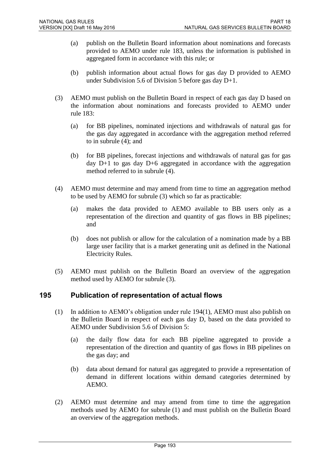- (a) publish on the Bulletin Board information about nominations and forecasts provided to AEMO under rule 183, unless the information is published in aggregated form in accordance with this rule; or
- (b) publish information about actual flows for gas day D provided to AEMO under Subdivision 5.6 of Division 5 before gas day D+1.
- (3) AEMO must publish on the Bulletin Board in respect of each gas day D based on the information about nominations and forecasts provided to AEMO under rule 183:
	- (a) for BB pipelines, nominated injections and withdrawals of natural gas for the gas day aggregated in accordance with the aggregation method referred to in subrule (4); and
	- (b) for BB pipelines, forecast injections and withdrawals of natural gas for gas day D+1 to gas day D+6 aggregated in accordance with the aggregation method referred to in subrule (4).
- (4) AEMO must determine and may amend from time to time an aggregation method to be used by AEMO for subrule (3) which so far as practicable:
	- (a) makes the data provided to AEMO available to BB users only as a representation of the direction and quantity of gas flows in BB pipelines; and
	- (b) does not publish or allow for the calculation of a nomination made by a BB large user facility that is a market generating unit as defined in the National Electricity Rules.
- (5) AEMO must publish on the Bulletin Board an overview of the aggregation method used by AEMO for subrule (3).

### **195 Publication of representation of actual flows**

- (1) In addition to AEMO's obligation under rule 194(1), AEMO must also publish on the Bulletin Board in respect of each gas day D, based on the data provided to AEMO under Subdivision 5.6 of Division 5:
	- (a) the daily flow data for each BB pipeline aggregated to provide a representation of the direction and quantity of gas flows in BB pipelines on the gas day; and
	- (b) data about demand for natural gas aggregated to provide a representation of demand in different locations within demand categories determined by AEMO.
- (2) AEMO must determine and may amend from time to time the aggregation methods used by AEMO for subrule (1) and must publish on the Bulletin Board an overview of the aggregation methods.